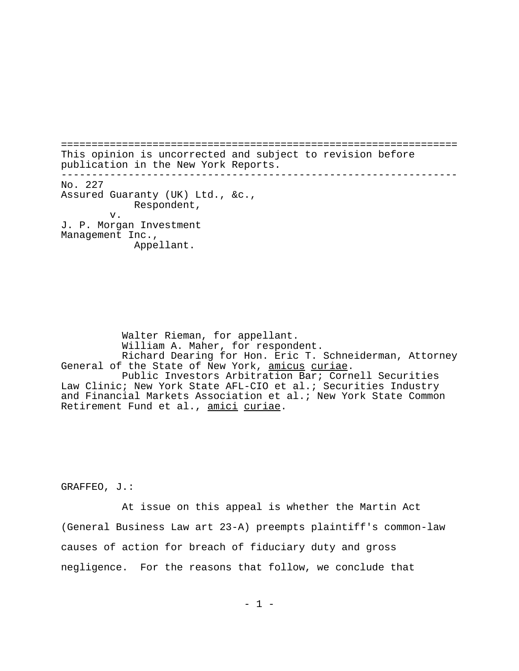================================================================= This opinion is uncorrected and subject to revision before publication in the New York Reports. ----------------------------------------------------------------- No. 227 Assured Guaranty (UK) Ltd., &c., Respondent, v. J. P. Morgan Investment Management Inc., Appellant.

Walter Rieman, for appellant. William A. Maher, for respondent. Richard Dearing for Hon. Eric T. Schneiderman, Attorney<br>General of the State of New York, <u>amicus curiae</u>. Public Investors Arbitration Bar; Cornell Securities Law Clinic; New York State AFL-CIO et al.; Securities Industry and Financial Markets Association et al.; New York State Common Retirement Fund et al., amici curiae.

GRAFFEO, J.:

At issue on this appeal is whether the Martin Act (General Business Law art 23-A) preempts plaintiff's common-law causes of action for breach of fiduciary duty and gross negligence. For the reasons that follow, we conclude that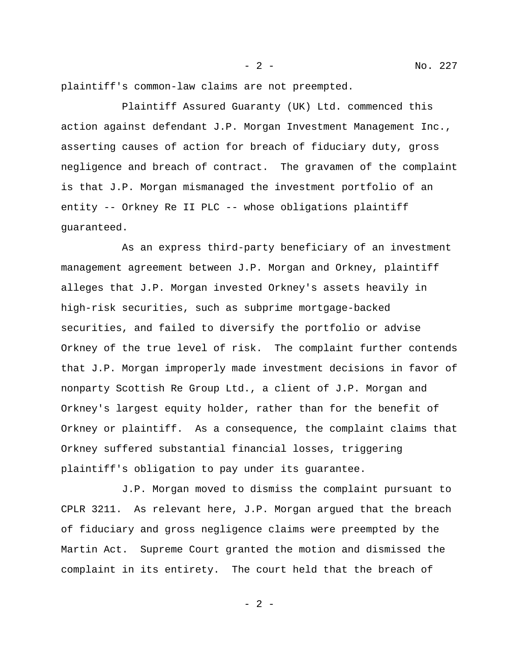plaintiff's common-law claims are not preempted.

Plaintiff Assured Guaranty (UK) Ltd. commenced this action against defendant J.P. Morgan Investment Management Inc., asserting causes of action for breach of fiduciary duty, gross negligence and breach of contract. The gravamen of the complaint is that J.P. Morgan mismanaged the investment portfolio of an entity -- Orkney Re II PLC -- whose obligations plaintiff guaranteed.

As an express third-party beneficiary of an investment management agreement between J.P. Morgan and Orkney, plaintiff alleges that J.P. Morgan invested Orkney's assets heavily in high-risk securities, such as subprime mortgage-backed securities, and failed to diversify the portfolio or advise Orkney of the true level of risk. The complaint further contends that J.P. Morgan improperly made investment decisions in favor of nonparty Scottish Re Group Ltd., a client of J.P. Morgan and Orkney's largest equity holder, rather than for the benefit of Orkney or plaintiff. As a consequence, the complaint claims that Orkney suffered substantial financial losses, triggering plaintiff's obligation to pay under its guarantee.

J.P. Morgan moved to dismiss the complaint pursuant to CPLR 3211. As relevant here, J.P. Morgan argued that the breach of fiduciary and gross negligence claims were preempted by the Martin Act. Supreme Court granted the motion and dismissed the complaint in its entirety. The court held that the breach of

 $- 2 -$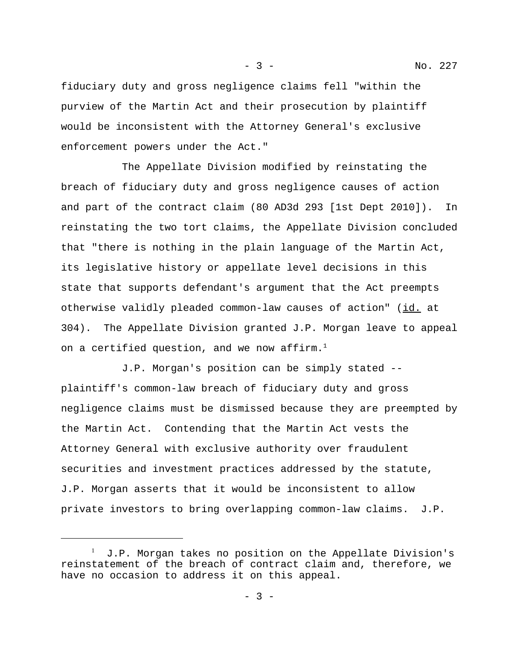fiduciary duty and gross negligence claims fell "within the purview of the Martin Act and their prosecution by plaintiff would be inconsistent with the Attorney General's exclusive enforcement powers under the Act."

The Appellate Division modified by reinstating the breach of fiduciary duty and gross negligence causes of action and part of the contract claim (80 AD3d 293 [1st Dept 2010]). In reinstating the two tort claims, the Appellate Division concluded that "there is nothing in the plain language of the Martin Act, its legislative history or appellate level decisions in this state that supports defendant's argument that the Act preempts otherwise validly pleaded common-law causes of action" (id. at 304). The Appellate Division granted J.P. Morgan leave to appeal on a certified question, and we now affirm.<sup>1</sup>

J.P. Morgan's position can be simply stated - plaintiff's common-law breach of fiduciary duty and gross negligence claims must be dismissed because they are preempted by the Martin Act. Contending that the Martin Act vests the Attorney General with exclusive authority over fraudulent securities and investment practices addressed by the statute, J.P. Morgan asserts that it would be inconsistent to allow private investors to bring overlapping common-law claims. J.P.

<sup>1</sup> J.P. Morgan takes no position on the Appellate Division's reinstatement of the breach of contract claim and, therefore, we have no occasion to address it on this appeal.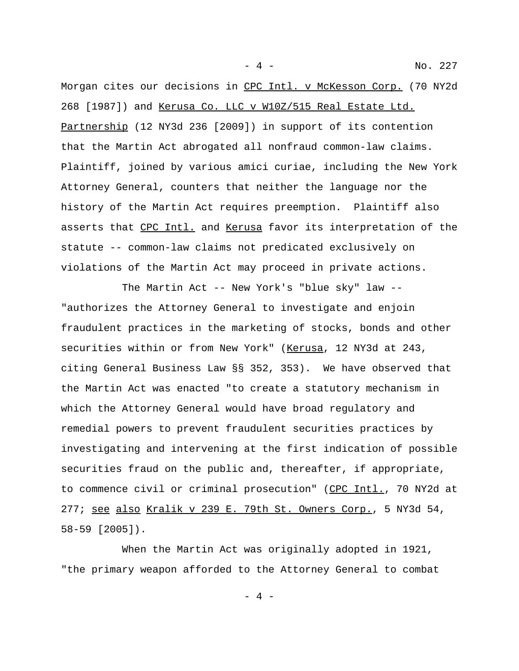Morgan cites our decisions in CPC Intl. v McKesson Corp. (70 NY2d 268 [1987]) and Kerusa Co. LLC v W10Z/515 Real Estate Ltd. Partnership (12 NY3d 236 [2009]) in support of its contention that the Martin Act abrogated all nonfraud common-law claims. Plaintiff, joined by various amici curiae, including the New York Attorney General, counters that neither the language nor the history of the Martin Act requires preemption. Plaintiff also asserts that CPC Intl. and Kerusa favor its interpretation of the statute -- common-law claims not predicated exclusively on violations of the Martin Act may proceed in private actions.

The Martin Act -- New York's "blue sky" law -- "authorizes the Attorney General to investigate and enjoin fraudulent practices in the marketing of stocks, bonds and other securities within or from New York" (Kerusa, 12 NY3d at 243, citing General Business Law §§ 352, 353). We have observed that the Martin Act was enacted "to create a statutory mechanism in which the Attorney General would have broad regulatory and remedial powers to prevent fraudulent securities practices by investigating and intervening at the first indication of possible securities fraud on the public and, thereafter, if appropriate, to commence civil or criminal prosecution" (CPC Intl., 70 NY2d at 277; see also Kralik v 239 E. 79th St. Owners Corp., 5 NY3d 54, 58-59 [2005]).

When the Martin Act was originally adopted in 1921, "the primary weapon afforded to the Attorney General to combat

- 4 -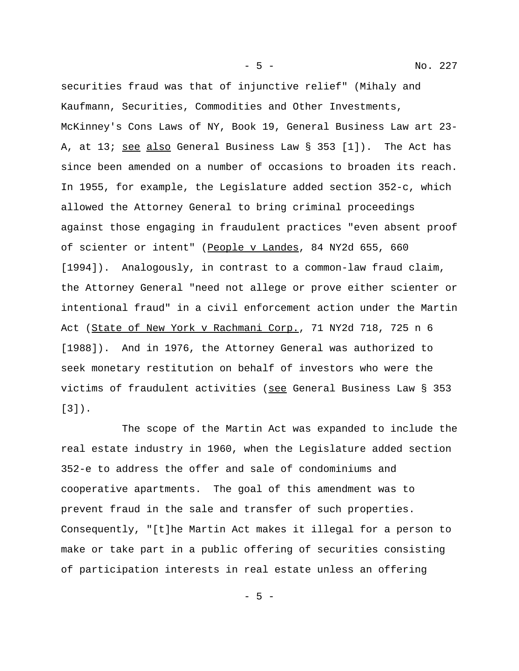securities fraud was that of injunctive relief" (Mihaly and Kaufmann, Securities, Commodities and Other Investments, McKinney's Cons Laws of NY, Book 19, General Business Law art 23- A, at 13; see also General Business Law § 353 [1]). The Act has since been amended on a number of occasions to broaden its reach. In 1955, for example, the Legislature added section 352-c, which allowed the Attorney General to bring criminal proceedings against those engaging in fraudulent practices "even absent proof of scienter or intent" (People v Landes, 84 NY2d 655, 660 [1994]). Analogously, in contrast to a common-law fraud claim, the Attorney General "need not allege or prove either scienter or intentional fraud" in a civil enforcement action under the Martin Act (State of New York v Rachmani Corp., 71 NY2d 718, 725 n 6 [1988]). And in 1976, the Attorney General was authorized to seek monetary restitution on behalf of investors who were the victims of fraudulent activities (see General Business Law § 353 [3]).

The scope of the Martin Act was expanded to include the real estate industry in 1960, when the Legislature added section 352-e to address the offer and sale of condominiums and cooperative apartments. The goal of this amendment was to prevent fraud in the sale and transfer of such properties. Consequently, "[t]he Martin Act makes it illegal for a person to make or take part in a public offering of securities consisting of participation interests in real estate unless an offering

- 5 -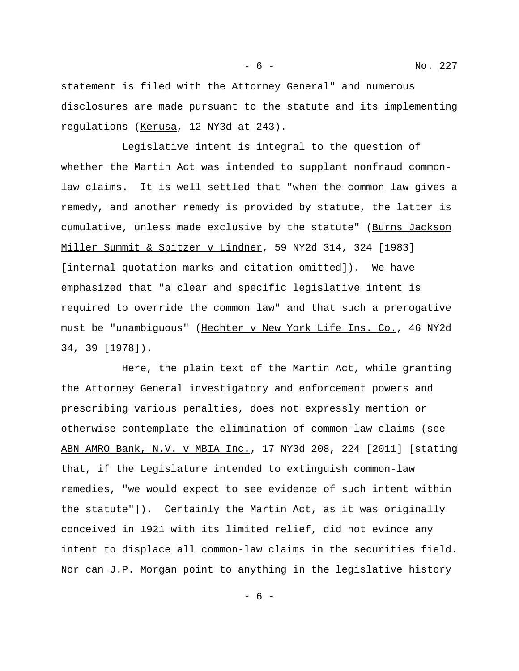- 6 - No. 227

statement is filed with the Attorney General" and numerous disclosures are made pursuant to the statute and its implementing regulations (Kerusa, 12 NY3d at 243).

Legislative intent is integral to the question of whether the Martin Act was intended to supplant nonfraud commonlaw claims. It is well settled that "when the common law gives a remedy, and another remedy is provided by statute, the latter is cumulative, unless made exclusive by the statute" (Burns Jackson Miller Summit & Spitzer v Lindner, 59 NY2d 314, 324 [1983] [internal quotation marks and citation omitted]). We have emphasized that "a clear and specific legislative intent is required to override the common law" and that such a prerogative must be "unambiguous" (Hechter v New York Life Ins. Co., 46 NY2d 34, 39 [1978]).

Here, the plain text of the Martin Act, while granting the Attorney General investigatory and enforcement powers and prescribing various penalties, does not expressly mention or otherwise contemplate the elimination of common-law claims (see ABN AMRO Bank, N.V. v MBIA Inc., 17 NY3d 208, 224 [2011] [stating that, if the Legislature intended to extinguish common-law remedies, "we would expect to see evidence of such intent within the statute"]). Certainly the Martin Act, as it was originally conceived in 1921 with its limited relief, did not evince any intent to displace all common-law claims in the securities field. Nor can J.P. Morgan point to anything in the legislative history

- 6 -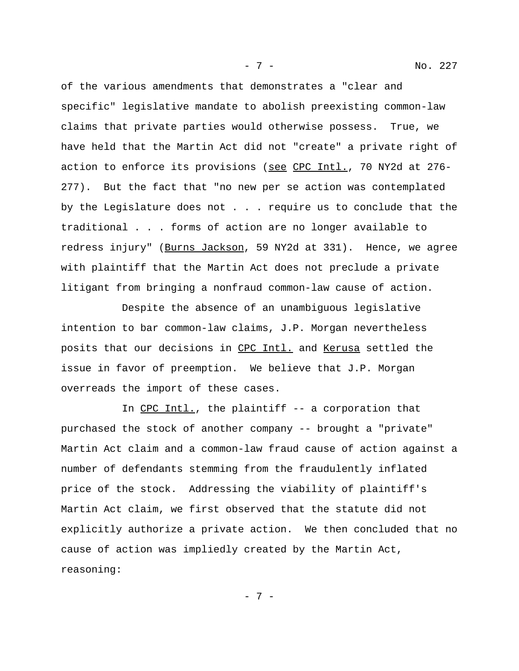of the various amendments that demonstrates a "clear and specific" legislative mandate to abolish preexisting common-law claims that private parties would otherwise possess. True, we have held that the Martin Act did not "create" a private right of action to enforce its provisions (see CPC Intl., 70 NY2d at 276- 277). But the fact that "no new per se action was contemplated by the Legislature does not . . . require us to conclude that the traditional . . . forms of action are no longer available to redress injury" (Burns Jackson, 59 NY2d at 331). Hence, we agree with plaintiff that the Martin Act does not preclude a private litigant from bringing a nonfraud common-law cause of action.

Despite the absence of an unambiguous legislative intention to bar common-law claims, J.P. Morgan nevertheless posits that our decisions in CPC Intl. and Kerusa settled the issue in favor of preemption. We believe that J.P. Morgan overreads the import of these cases.

In CPC\_Intl., the plaintiff -- a corporation that purchased the stock of another company -- brought a "private" Martin Act claim and a common-law fraud cause of action against a number of defendants stemming from the fraudulently inflated price of the stock. Addressing the viability of plaintiff's Martin Act claim, we first observed that the statute did not explicitly authorize a private action. We then concluded that no cause of action was impliedly created by the Martin Act, reasoning:

- 7 -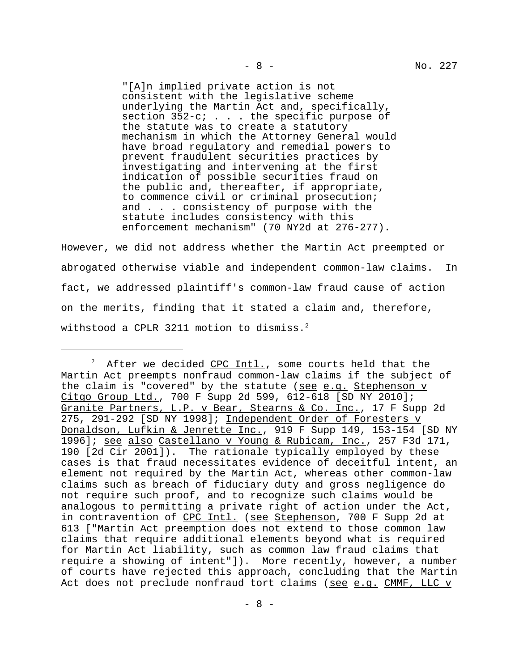"[A]n implied private action is not consistent with the legislative scheme underlying the Martin Act and, specifically, section 352-c; . . . the specific purpose of the statute was to create a statutory mechanism in which the Attorney General would have broad regulatory and remedial powers to prevent fraudulent securities practices by investigating and intervening at the first indication of possible securities fraud on the public and, thereafter, if appropriate, to commence civil or criminal prosecution; and . . . consistency of purpose with the statute includes consistency with this enforcement mechanism" (70 NY2d at 276-277).

However, we did not address whether the Martin Act preempted or abrogated otherwise viable and independent common-law claims. In fact, we addressed plaintiff's common-law fraud cause of action on the merits, finding that it stated a claim and, therefore, withstood a CPLR 3211 motion to dismiss.<sup>2</sup>

<sup>2</sup> After we decided CPC Intl., some courts held that the Martin Act preempts nonfraud common-law claims if the subject of the claim is "covered" by the statute (see e.g. Stephenson v Citgo Group Ltd., 700 F Supp 2d 599, 612-618 [SD NY 2010]; Granite Partners, L.P. v Bear, Stearns & Co. Inc., 17 F Supp 2d 275, 291-292 [SD NY 1998]; Independent Order of Foresters v Donaldson, Lufkin & Jenrette Inc., 919 F Supp 149, 153-154 [SD NY 1996]; see also Castellano v Young & Rubicam, Inc., 257 F3d 171, 190 [2d Cir 2001]). The rationale typically employed by these cases is that fraud necessitates evidence of deceitful intent, an element not required by the Martin Act, whereas other common-law claims such as breach of fiduciary duty and gross negligence do not require such proof, and to recognize such claims would be analogous to permitting a private right of action under the Act, in contravention of CPC Intl. (see Stephenson, 700 F Supp 2d at 613 ["Martin Act preemption does not extend to those common law claims that require additional elements beyond what is required for Martin Act liability, such as common law fraud claims that require a showing of intent"]). More recently, however, a number of courts have rejected this approach, concluding that the Martin Act does not preclude nonfraud tort claims (see e.g. CMMF, LLC v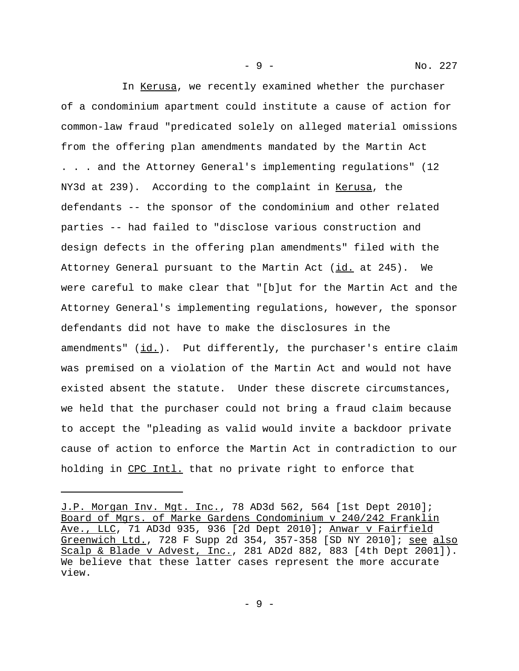In Kerusa, we recently examined whether the purchaser of a condominium apartment could institute a cause of action for common-law fraud "predicated solely on alleged material omissions from the offering plan amendments mandated by the Martin Act . . . and the Attorney General's implementing regulations" (12 NY3d at 239). According to the complaint in Kerusa, the defendants -- the sponsor of the condominium and other related parties -- had failed to "disclose various construction and design defects in the offering plan amendments" filed with the Attorney General pursuant to the Martin Act (id. at 245). We were careful to make clear that "[b]ut for the Martin Act and the Attorney General's implementing regulations, however, the sponsor defendants did not have to make the disclosures in the amendments"  $(id.)$ . Put differently, the purchaser's entire claim was premised on a violation of the Martin Act and would not have existed absent the statute. Under these discrete circumstances, we held that the purchaser could not bring a fraud claim because to accept the "pleading as valid would invite a backdoor private cause of action to enforce the Martin Act in contradiction to our holding in CPC Intl. that no private right to enforce that

- 9 - No. 227

J.P. Morgan Inv. Mgt. Inc., 78 AD3d 562, 564 [1st Dept 2010]; Board of Mgrs. of Marke Gardens Condominium v 240/242 Franklin Ave., LLC, 71 AD3d 935, 936 [2d Dept 2010]; Anwar v Fairfield Greenwich Ltd., 728 F Supp 2d 354, 357-358 [SD NY 2010]; see also Scalp & Blade v Advest, Inc., 281 AD2d 882, 883 [4th Dept 2001]). We believe that these latter cases represent the more accurate view.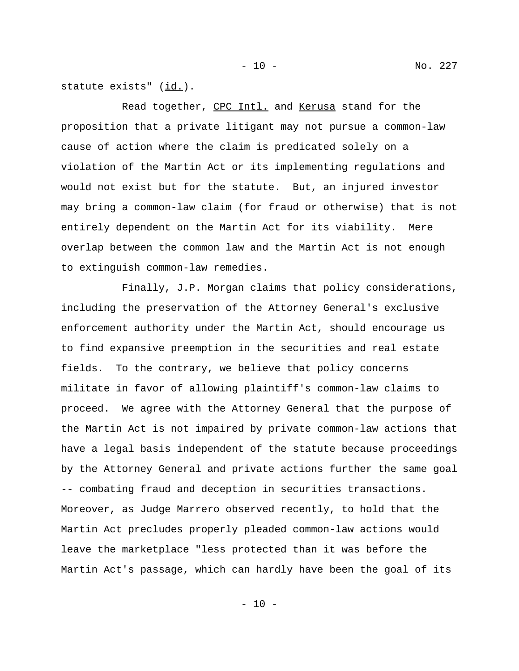statute exists" (id.).

Read together, CPC Intl. and Kerusa stand for the proposition that a private litigant may not pursue a common-law cause of action where the claim is predicated solely on a violation of the Martin Act or its implementing regulations and would not exist but for the statute. But, an injured investor may bring a common-law claim (for fraud or otherwise) that is not entirely dependent on the Martin Act for its viability. Mere overlap between the common law and the Martin Act is not enough to extinguish common-law remedies.

Finally, J.P. Morgan claims that policy considerations, including the preservation of the Attorney General's exclusive enforcement authority under the Martin Act, should encourage us to find expansive preemption in the securities and real estate fields. To the contrary, we believe that policy concerns militate in favor of allowing plaintiff's common-law claims to proceed. We agree with the Attorney General that the purpose of the Martin Act is not impaired by private common-law actions that have a legal basis independent of the statute because proceedings by the Attorney General and private actions further the same goal -- combating fraud and deception in securities transactions. Moreover, as Judge Marrero observed recently, to hold that the Martin Act precludes properly pleaded common-law actions would leave the marketplace "less protected than it was before the Martin Act's passage, which can hardly have been the goal of its

 $-10 -$